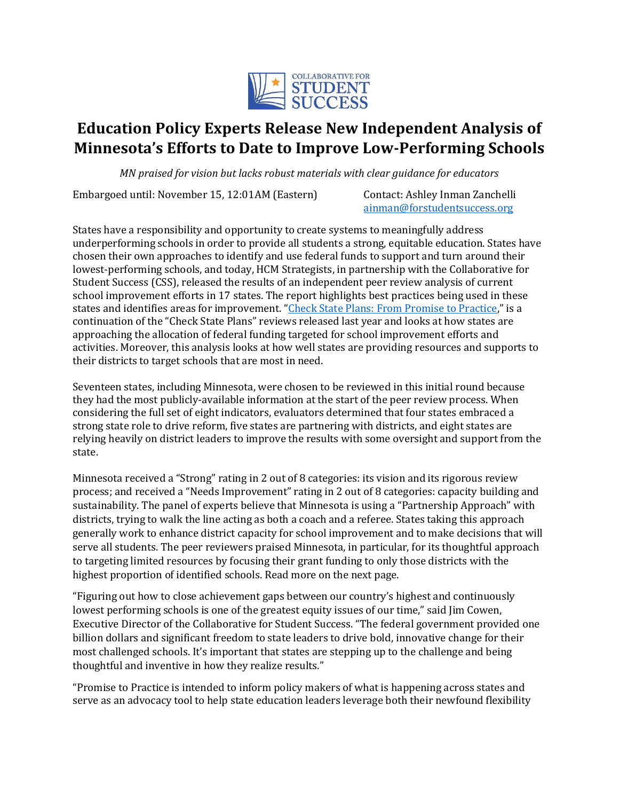

# **Education Policy Experts Release New Independent Analysis of Minnesota's Efforts to Date to Improve Low-Performing Schools**

*MN praised for vision but lacks robust materials with clear guidance for educators*

Embargoed until: November 15, 12:01AM (Eastern) Contact: Ashley Inman Zanchelli

ainman@forstudentsuccess.org

States have a responsibility and opportunity to create systems to meaningfully address underperforming schools in order to provide all students a strong, equitable education. States have chosen their own approaches to identify and use federal funds to support and turn around their lowest-performing schools, and today, HCM Strategists, in partnership with the Collaborative for Student Success (CSS), released the results of an independent peer review analysis of current school improvement efforts in 17 states. The report highlights best practices being used in these states and identifies areas for improvement. "Check State Plans: From Promise to Practice," is a continuation of the "Check State Plans" reviews released last year and looks at how states are approaching the allocation of federal funding targeted for school improvement efforts and activities. Moreover, this analysis looks at how well states are providing resources and supports to their districts to target schools that are most in need.

Seventeen states, including Minnesota, were chosen to be reviewed in this initial round because they had the most publicly-available information at the start of the peer review process. When considering the full set of eight indicators, evaluators determined that four states embraced a strong state role to drive reform, five states are partnering with districts, and eight states are relying heavily on district leaders to improve the results with some oversight and support from the state.

Minnesota received a "Strong" rating in 2 out of 8 categories: its vision and its rigorous review process; and received a "Needs Improvement" rating in 2 out of 8 categories: capacity building and sustainability. The panel of experts believe that Minnesota is using a "Partnership Approach" with districts, trying to walk the line acting as both a coach and a referee. States taking this approach generally work to enhance district capacity for school improvement and to make decisions that will serve all students. The peer reviewers praised Minnesota, in particular, for its thoughtful approach to targeting limited resources by focusing their grant funding to only those districts with the highest proportion of identified schools. Read more on the next page.

"Figuring out how to close achievement gaps between our country's highest and continuously lowest performing schools is one of the greatest equity issues of our time," said Jim Cowen, Executive Director of the Collaborative for Student Success. "The federal government provided one billion dollars and significant freedom to state leaders to drive bold, innovative change for their most challenged schools. It's important that states are stepping up to the challenge and being thoughtful and inventive in how they realize results."

"Promise to Practice is intended to inform policy makers of what is happening across states and serve as an advocacy tool to help state education leaders leverage both their newfound flexibility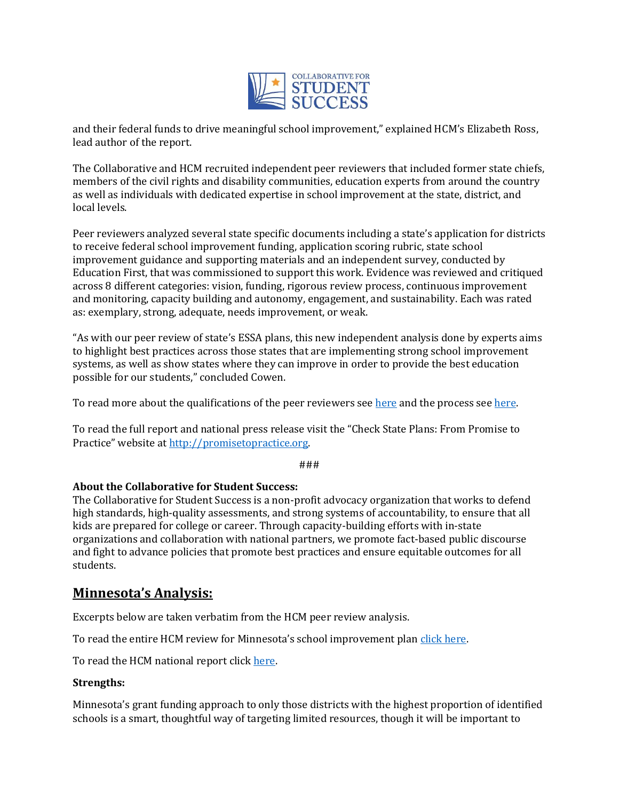

and their federal funds to drive meaningful school improvement," explained HCM's Elizabeth Ross, lead author of the report.

The Collaborative and HCM recruited independent peer reviewers that included former state chiefs, members of the civil rights and disability communities, education experts from around the country as well as individuals with dedicated expertise in school improvement at the state, district, and local levels.

Peer reviewers analyzed several state specific documents including a state's application for districts to receive federal school improvement funding, application scoring rubric, state school improvement guidance and supporting materials and an independent survey, conducted by Education First, that was commissioned to support this work. Evidence was reviewed and critiqued across 8 different categories: vision, funding, rigorous review process, continuous improvement and monitoring, capacity building and autonomy, engagement, and sustainability. Each was rated as: exemplary, strong, adequate, needs improvement, or weak.

"As with our peer review of state's ESSA plans, this new independent analysis done by experts aims to highlight best practices across those states that are implementing strong school improvement systems, as well as show states where they can improve in order to provide the best education possible for our students," concluded Cowen.

To read more about the qualifications of the peer reviewers see here and the process see here.

To read the full report and national press release visit the "Check State Plans: From Promise to Practice" website at http://promisetopractice.org.

###

## **About the Collaborative for Student Success:**

The Collaborative for Student Success is a non-profit advocacy organization that works to defend high standards, high-quality assessments, and strong systems of accountability, to ensure that all kids are prepared for college or career. Through capacity-building efforts with in-state organizations and collaboration with national partners, we promote fact-based public discourse and fight to advance policies that promote best practices and ensure equitable outcomes for all students.

# **Minnesota's Analysis:**

Excerpts below are taken verbatim from the HCM peer review analysis.

To read the entire HCM review for Minnesota's school improvement plan click here.

To read the HCM national report click here.

#### **Strengths:**

Minnesota's grant funding approach to only those districts with the highest proportion of identified schools is a smart, thoughtful way of targeting limited resources, though it will be important to